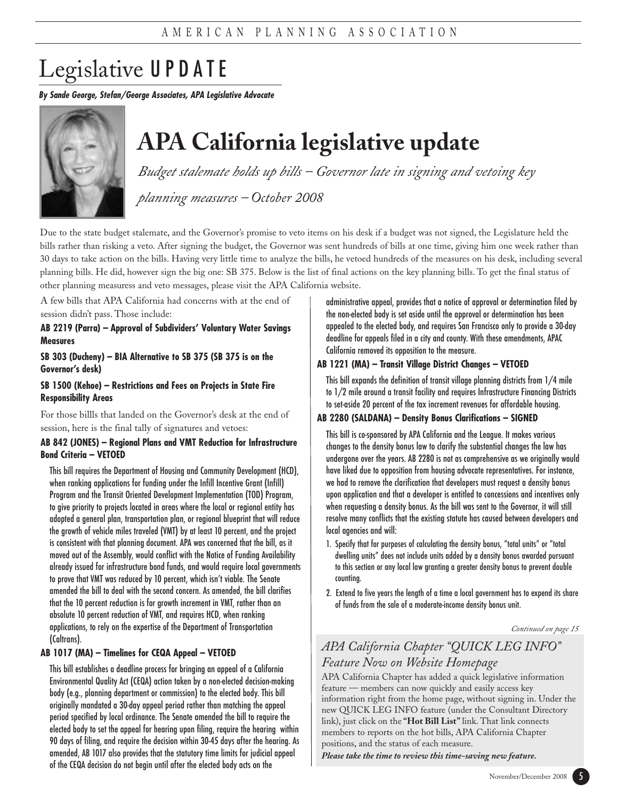# Legislative UPDATE

**By Sande George, Stefan/George Associates, APA Legislative Advocate**



## **APA California legislative update**

*Budget stalemate holds up bills – Governor late in signing and vetoing key*

*planning measures – October 2008*

Due to the state budget stalemate, and the Governor's promise to veto items on his desk if a budget was not signed, the Legislature held the bills rather than risking a veto. After signing the budget, the Governor was sent hundreds of bills at one time, giving him one week rather than 30 days to take action on the bills. Having very little time to analyze the bills, he vetoed hundreds of the measures on his desk, including several planning bills. He did, however sign the big one: SB 375. Below is the list of final actions on the key planning bills. To get the final status of other planning measuress and veto messages, please visit the APA California website.

A few bills that APA California had concerns with at the end of session didn't pass. Those include:

### **AB 2219 (Parra) – Approval of Subdividers' Voluntary Water Savings Measures**

### **SB 303 (Ducheny) – BIA Alternative to SB 375 (SB 375 is on the Governor's desk)**

**SB 1500 (Kehoe) – Restrictions and Fees on Projects in State Fire Responsibility Areas**

For those billls that landed on the Governor's desk at the end of session, here is the final tally of signatures and vetoes:

### **AB 842 (JONES) – Regional Plans and VMT Reduction for Infrastructure Bond Criteria – VETOED**

This bill requires the Department of Housing and Community Development (HCD), when ranking applications for funding under the Infill Incentive Grant (Infill) Program and the Transit Oriented Development Implementation (TOD) Program, to give priority to projects located in areas where the local or regional entity has adopted a general plan, transportation plan, or regional blueprint that will reduce the growth of vehicle miles traveled (VMT) by at least 10 percent, and the project is consistent with that planning document. APA was concerned that the bill, as it moved out of the Assembly, would conflict with the Notice of Funding Availability already issued for infrastructure bond funds, and would require local governments to prove that VMT was reduced by 10 percent, which isn't viable. The Senate amended the bill to deal with the second concern. As amended, the bill clarifies that the 10 percent reduction is for growth increment in VMT, rather than an absolute 10 percent reduction of VMT, and requires HCD, when ranking applications, to rely on the expertise of the Department of Transportation (Caltrans).

### **AB 1017 (MA) – Timelines for CEQA Appeal – VETOED**

This bill establishes a deadline process for bringing an appeal of a California Environmental Quality Act (CEQA) action taken by a non-elected decision-making body (e.g., planning department or commission) to the elected body. This bill originally mandated a 30-day appeal period rather than matching the appeal period specified by local ordinance. The Senate amended the bill to require the elected body to set the appeal for hearing upon filing, require the hearing within 90 days of filing, and require the decision within 30-45 days after the hearing. As amended, AB 1017 also provides that the statutory time limits for judicial appeal of the CEQA decision do not begin until after the elected body acts on the

administrative appeal, provides that a notice of approval or determination filed by the non-elected body is set aside until the approval or determination has been appealed to the elected body, and requires San Francisco only to provide a 30-day deadline for appeals filed in a city and county. With these amendments, APAC California removed its opposition to the measure.

### **AB 1221 (MA) – Transit Village District Changes – VETOED**

This bill expands the definition of transit village planning districts from 1/4 mile to 1/2 mile around a transit facility and requires Infrastructure Financing Districts to set-aside 20 percent of the tax increment revenues for affordable housing.

### **AB 2280 (SALDANA) – Density Bonus Clarifications – SIGNED**

This bill is co-sponsored by APA California and the League. It makes various changes to the density bonus law to clarify the substantial changes the law has undergone over the years. AB 2280 is not as comprehensive as we originally would have liked due to opposition from housing advocate representatives. For instance, we had to remove the clarification that developers must request a density bonus upon application and that a developer is entitled to concessions and incentives only when requesting a density bonus. As the bill was sent to the Governor, it will still resolve many conflicts that the existing statute has caused between developers and local agencies and will:

- 1. Specify that for purposes of calculating the density bonus, "total units" or "total dwelling units" does not include units added by a density bonus awarded pursuant to this section or any local law granting a greater density bonus to prevent double counting.
- 2. Extend to five years the length of a time a local government has to expend its share of funds from the sale of a moderate-income density bonus unit.

*Continued on page 15*

## *APA California Chapter "QUICK LEG INFO" Feature Now on Website Homepage*

APA California Chapter has added a quick legislative information feature — members can now quickly and easily access key information right from the home page, without signing in. Under the new QUICK LEG INFO feature (under the Consultant Directory link), just click on the **"Hot Bill List"** link. That link connects members to reports on the hot bills, APA California Chapter positions, and the status of each measure.

*Please take the time to review this time-saving new feature.*